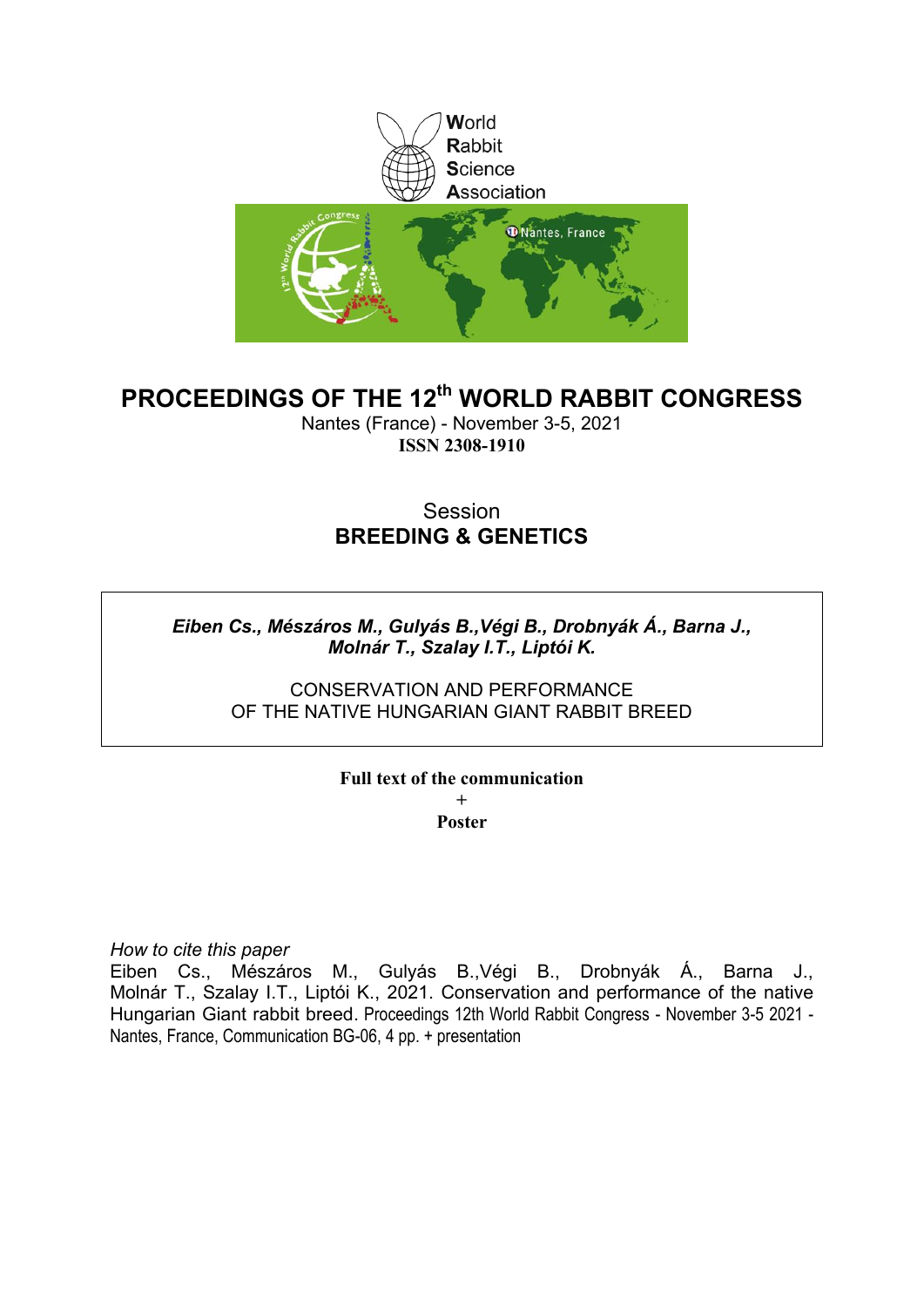

# **PROCEEDINGS OF THE 12th WORLD RABBIT CONGRESS**

Nantes (France) - November 3-5, 2021 **ISSN 2308-1910**

# Session **BREEDING & GENETICS**

# *Eiben Cs., Mészáros M., Gulyás B.,Végi B., Drobnyák Á., Barna J., Molnár T., Szalay I.T., Liptói K.*

CONSERVATION AND PERFORMANCE OF THE NATIVE HUNGARIAN GIANT RABBIT BREED

# **Full text of the communication +**

**Poster**

*How to cite this paper*

Eiben Cs., Mészáros M., Gulyás B.,Végi B., Drobnyák Á., Barna J., Molnár T., Szalay I.T., Liptói K., 2021. Conservation and performance of the native Hungarian Giant rabbit breed. Proceedings 12th World Rabbit Congress - November 3-5 2021 - Nantes, France, Communication BG-06, 4 pp. + presentation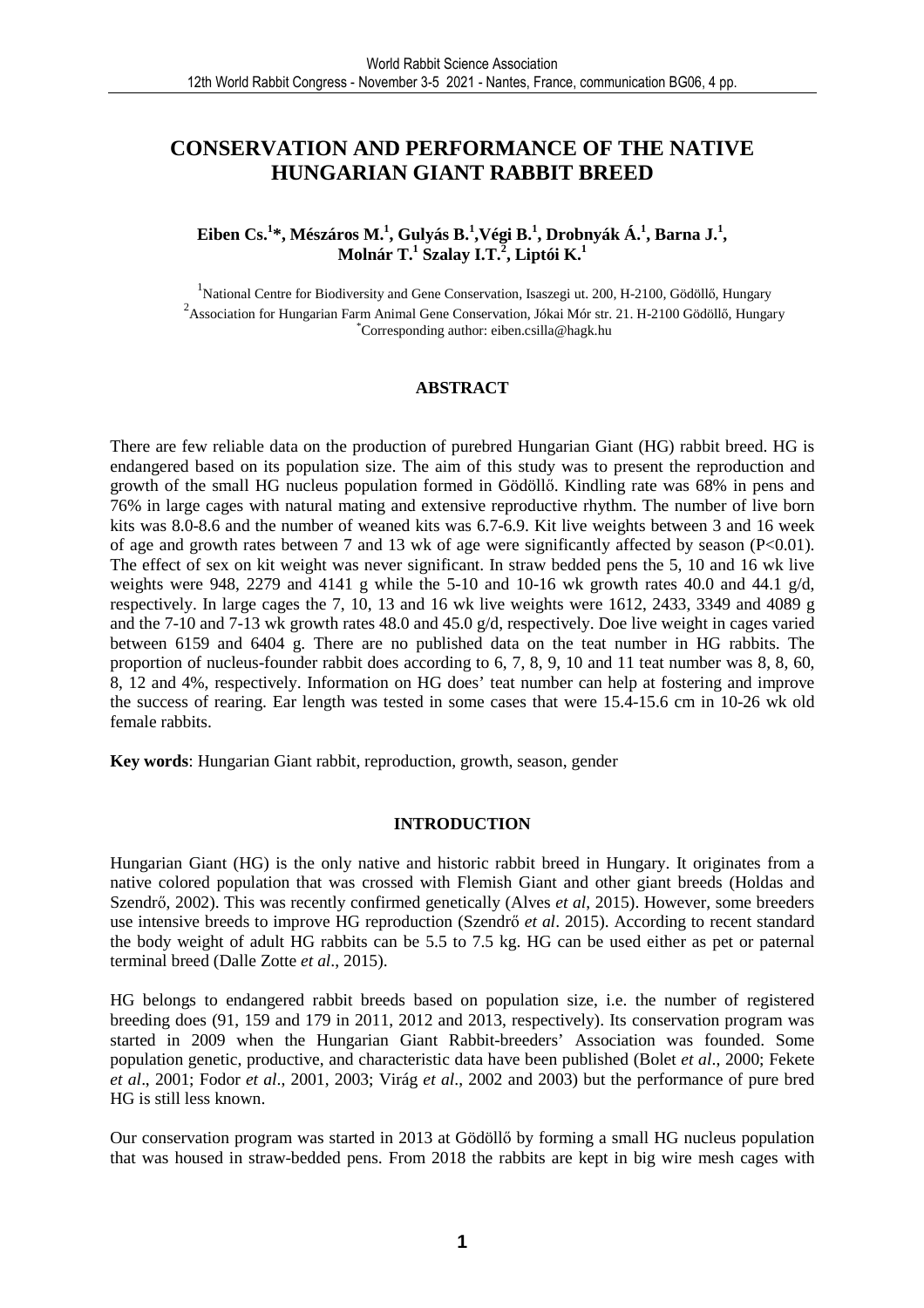# **CONSERVATION AND PERFORMANCE OF THE NATIVE HUNGARIAN GIANT RABBIT BREED**

# $\mathbf{E}$ iben Cs.<sup>1</sup>\*, Mészáros M.<sup>1</sup>, Gulyás B.<sup>1</sup>,Végi B.<sup>1</sup>, Drobnyák Á.<sup>1</sup>, Barna J.<sup>1</sup>, **Molnár T.<sup>1</sup> Szalay I.T.<sup>2</sup> , Liptói K.<sup>1</sup>**

<sup>1</sup>National Centre for Biodiversity and Gene Conservation, Isaszegi ut. 200, H-2100, Gödöllő, Hungary  $^{2}$ Association for Hungarian Farm Animal Gene Conservation, Jókai Mór str. 21. H-2100 Gödöllő, Hungary \*Corresponding author: eiben.csilla@hagk.hu

#### **ABSTRACT**

There are few reliable data on the production of purebred Hungarian Giant (HG) rabbit breed. HG is endangered based on its population size. The aim of this study was to present the reproduction and growth of the small HG nucleus population formed in Gödöllő. Kindling rate was 68% in pens and 76% in large cages with natural mating and extensive reproductive rhythm. The number of live born kits was 8.0-8.6 and the number of weaned kits was 6.7-6.9. Kit live weights between 3 and 16 week of age and growth rates between 7 and 13 wk of age were significantly affected by season  $(P<0.01)$ . The effect of sex on kit weight was never significant. In straw bedded pens the 5, 10 and 16 wk live weights were 948, 2279 and 4141 g while the 5-10 and 10-16 wk growth rates 40.0 and 44.1 g/d, respectively. In large cages the 7, 10, 13 and 16 wk live weights were 1612, 2433, 3349 and 4089 g and the 7-10 and 7-13 wk growth rates 48.0 and 45.0 g/d, respectively. Doe live weight in cages varied between 6159 and 6404 g. There are no published data on the teat number in HG rabbits. The proportion of nucleus-founder rabbit does according to 6, 7, 8, 9, 10 and 11 teat number was 8, 8, 60, 8, 12 and 4%, respectively. Information on HG does' teat number can help at fostering and improve the success of rearing. Ear length was tested in some cases that were 15.4-15.6 cm in 10-26 wk old female rabbits.

**Key words**: Hungarian Giant rabbit, reproduction, growth, season, gender

### **INTRODUCTION**

Hungarian Giant (HG) is the only native and historic rabbit breed in Hungary. It originates from a native colored population that was crossed with Flemish Giant and other giant breeds (Holdas and Szendrő, 2002). This was recently confirmed genetically (Alves *et al*, 2015). However, some breeders use intensive breeds to improve HG reproduction (Szendrő *et al*. 2015). According to recent standard the body weight of adult HG rabbits can be 5.5 to 7.5 kg. HG can be used either as pet or paternal terminal breed (Dalle Zotte *et al*., 2015).

HG belongs to endangered rabbit breeds based on population size, i.e. the number of registered breeding does (91, 159 and 179 in 2011, 2012 and 2013, respectively). Its conservation program was started in 2009 when the Hungarian Giant Rabbit-breeders' Association was founded. Some population genetic, productive, and characteristic data have been published (Bolet *et al*., 2000; Fekete *et al*., 2001; Fodor *et al*., 2001, 2003; Virág *et al*., 2002 and 2003) but the performance of pure bred HG is still less known.

Our conservation program was started in 2013 at Gödöllő by forming a small HG nucleus population that was housed in straw-bedded pens. From 2018 the rabbits are kept in big wire mesh cages with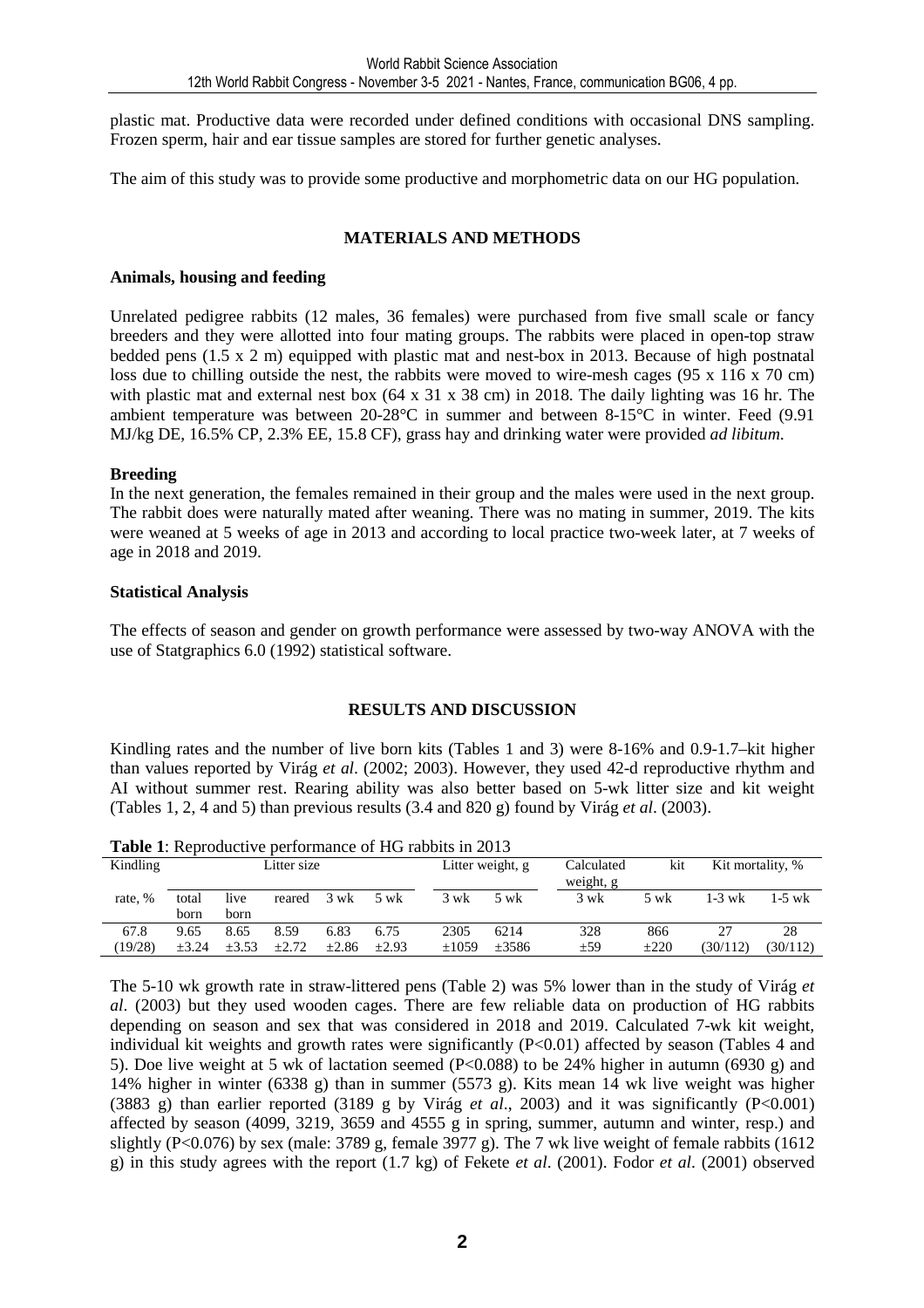plastic mat. Productive data were recorded under defined conditions with occasional DNS sampling. Frozen sperm, hair and ear tissue samples are stored for further genetic analyses.

The aim of this study was to provide some productive and morphometric data on our HG population.

## **MATERIALS AND METHODS**

### **Animals, housing and feeding**

Unrelated pedigree rabbits (12 males, 36 females) were purchased from five small scale or fancy breeders and they were allotted into four mating groups. The rabbits were placed in open-top straw bedded pens (1.5 x 2 m) equipped with plastic mat and nest-box in 2013. Because of high postnatal loss due to chilling outside the nest, the rabbits were moved to wire-mesh cages (95 x 116 x 70 cm) with plastic mat and external nest box (64 x 31 x 38 cm) in 2018. The daily lighting was 16 hr. The ambient temperature was between 20-28°C in summer and between 8-15°C in winter. Feed (9.91 MJ/kg DE, 16.5% CP, 2.3% EE, 15.8 CF), grass hay and drinking water were provided *ad libitum*.

### **Breeding**

In the next generation, the females remained in their group and the males were used in the next group. The rabbit does were naturally mated after weaning. There was no mating in summer, 2019. The kits were weaned at 5 weeks of age in 2013 and according to local practice two-week later, at 7 weeks of age in 2018 and 2019.

#### **Statistical Analysis**

The effects of season and gender on growth performance were assessed by two-way ANOVA with the use of Statgraphics 6.0 (1992) statistical software.

### **RESULTS AND DISCUSSION**

Kindling rates and the number of live born kits (Tables 1 and 3) were 8-16% and 0.9-1.7–kit higher than values reported by Virág *et al*. (2002; 2003). However, they used 42-d reproductive rhythm and AI without summer rest. Rearing ability was also better based on 5-wk litter size and kit weight (Tables 1, 2, 4 and 5) than previous results (3.4 and 820 g) found by Virág *et al*. (2003).

Kindling Litter size Litter weight, g Calculated kit weight, g Kit mortality, % rate, % total born live born reared 3 wk 5 wk 3 wk 5 wk 3 wk 5 wk 1-3 wk 1-5 wk 67.8 (19/28) 9.65 ±3.24 8.65  $+3.53$ 8.59  $+2.72$ 6.83  $±2.86$ 6.75  $+2.93$  2305  $+1059$ 6214 ±3586 328 ±59 866  $+220$ 27 (30/112) 28 (30/112)

**Table 1**: Reproductive performance of HG rabbits in 2013

The 5-10 wk growth rate in straw-littered pens (Table 2) was 5% lower than in the study of Virág *et al*. (2003) but they used wooden cages. There are few reliable data on production of HG rabbits depending on season and sex that was considered in 2018 and 2019. Calculated 7-wk kit weight, individual kit weights and growth rates were significantly (P<0.01) affected by season (Tables 4 and 5). Doe live weight at 5 wk of lactation seemed (P<0.088) to be 24% higher in autumn (6930 g) and 14% higher in winter (6338 g) than in summer (5573 g). Kits mean 14 wk live weight was higher (3883 g) than earlier reported (3189 g by Virág *et al*., 2003) and it was significantly (P<0.001) affected by season (4099, 3219, 3659 and 4555 g in spring, summer, autumn and winter, resp.) and slightly (P<0.076) by sex (male: 3789 g, female 3977 g). The 7 wk live weight of female rabbits (1612 g) in this study agrees with the report (1.7 kg) of Fekete *et al*. (2001). Fodor *et al*. (2001) observed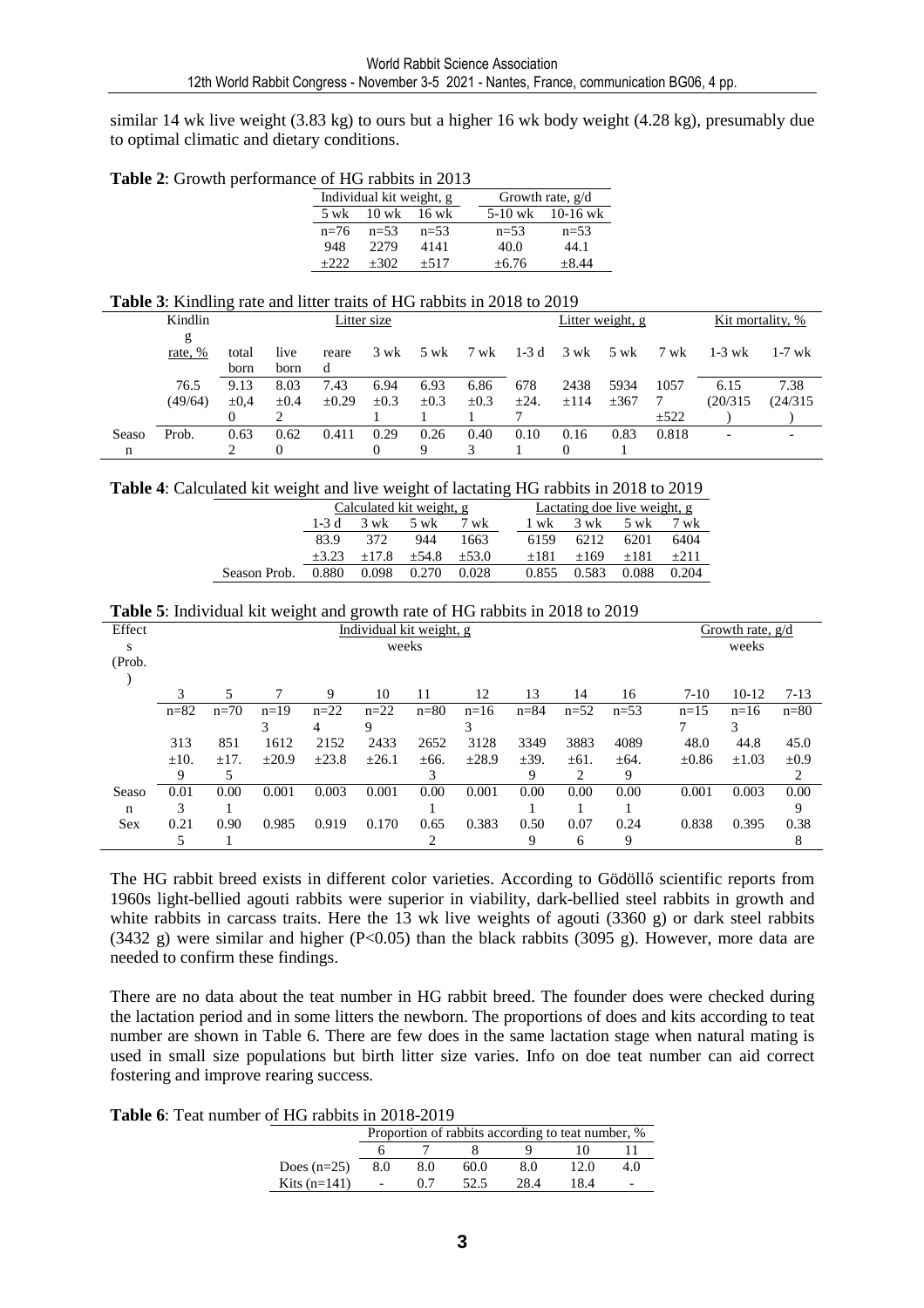similar 14 wk live weight (3.83 kg) to ours but a higher 16 wk body weight (4.28 kg), presumably due to optimal climatic and dietary conditions.

**Table 2**: Growth performance of HG rabbits in 2013

|        | Individual kit weight, g |          |          | Growth rate, $g/d$   |  |  |  |  |
|--------|--------------------------|----------|----------|----------------------|--|--|--|--|
| 5 wk   | $10$ wk                  | $16$ wk  |          | $5-10$ wk $10-16$ wk |  |  |  |  |
| $n=76$ | $n = 53$                 | $n = 53$ | $n = 53$ | $n=53$               |  |  |  |  |
| 948    | 22.79                    | 4141     | 40.0     | 44.1                 |  |  |  |  |
| $+222$ | $+302$                   | $+517$   | $+6.76$  | $+8.44$              |  |  |  |  |

#### **Table 3**: Kindling rate and litter traits of HG rabbits in 2018 to 2019

| Kindlin |              |           | Litter size |            |           |           |           | Litter weight, g |      |                               |           | Kit mortality, % |          |
|---------|--------------|-----------|-------------|------------|-----------|-----------|-----------|------------------|------|-------------------------------|-----------|------------------|----------|
|         | g<br>rate, % | total     | live        | reare      | 3 wk      | 5 wk      | 7 wk      | $1-3d$           |      | $3 \text{ wk}$ $5 \text{ wk}$ | 7 wk      | 1-3 wk           | $1-7$ wk |
|         |              | born      | born        | d          |           |           |           |                  |      |                               |           |                  |          |
|         | 76.5         | 9.13      | 8.03        | 7.43       | 6.94      | 6.93      | 6.86      | 678              | 2438 | 5934                          | 1057      | 6.15             | 7.38     |
|         | (49/64)      | $\pm 0.4$ | $\pm 0.4$   | $\pm 0.29$ | $\pm 0.3$ | $\pm 0.3$ | $\pm 0.3$ | $\pm 24.$        | ±114 | $\pm 367$                     |           | (20/315)         | (24/315) |
|         |              |           |             |            |           |           |           |                  |      |                               | $\pm 522$ |                  |          |
| Seaso   | Prob.        | 0.63      | 0.62        | 0.411      | 0.29      | 0.26      | 0.40      | 0.10             | 0.16 | 0.83                          | 0.818     |                  |          |
| n       |              |           | 0           |            | 0         | Q         |           |                  |      |                               |           |                  |          |

**Table 4**: Calculated kit weight and live weight of lactating HG rabbits in 2018 to 2019

|              |         | Calculated kit weight, g      |         |         | Lactating doe live weight, g |                               |        |        |  |  |
|--------------|---------|-------------------------------|---------|---------|------------------------------|-------------------------------|--------|--------|--|--|
|              | 1-3 d   | $3 \text{ wk}$ $5 \text{ wk}$ |         | 7 wk    | 1 wk                         | $3 \text{ wk}$ $5 \text{ wk}$ |        | 7 wk   |  |  |
|              | 83.9    | 372                           | 944     | 1663    | 6159                         | 6212                          | 6201   | 6404   |  |  |
|              | $+3.23$ | $+17.8$                       | $+54.8$ | $+53.0$ | $+181$                       | $+169$                        | $+181$ | $+211$ |  |  |
| Season Prob. | 0.880   | 0.098                         | 0.270   | 0.028   | 0.855                        | 0.583                         | 0.088  | 0.204  |  |  |

| <b>Table 5:</b> Individual kit weight and growth rate of HG rabbits in 2018 to 2019 |  |  |
|-------------------------------------------------------------------------------------|--|--|
|                                                                                     |  |  |

| Effect |           | Individual kit weight, g |            |            |         |           |            |           |           |           |            | Growth rate, $g/d$ |           |  |
|--------|-----------|--------------------------|------------|------------|---------|-----------|------------|-----------|-----------|-----------|------------|--------------------|-----------|--|
| S      | weeks     |                          |            |            |         |           |            |           |           |           |            | weeks              |           |  |
| (Prob. |           |                          |            |            |         |           |            |           |           |           |            |                    |           |  |
|        |           |                          |            |            |         |           |            |           |           |           |            |                    |           |  |
|        |           | 5                        |            | 9          | 10      | 11        | 12         | 13        | 14        | 16        | $7-10$     | $10-12$            | 7-13      |  |
|        | $n = 82$  | $n=70$                   | $n=19$     | $n=22$     | $n=22$  | $n=80$    | $n=16$     | $n = 84$  | $n=52$    | $n=53$    | $n=15$     | $n=16$             | $n=80$    |  |
|        |           |                          |            |            | Q       |           |            |           |           |           |            | 3                  |           |  |
|        | 313       | 851                      | 1612       | 2152       | 2433    | 2652      | 3128       | 3349      | 3883      | 4089      | 48.0       | 44.8               | 45.0      |  |
|        | $\pm 10.$ | $\pm 17.$                | $\pm 20.9$ | $\pm 23.8$ | $+26.1$ | $\pm 66.$ | $\pm 28.9$ | $\pm$ 39. | $\pm 61.$ | $\pm 64.$ | $\pm 0.86$ | $\pm 1.03$         | $\pm 0.9$ |  |
|        |           |                          |            |            |         |           |            | 9         | 2         | 9         |            |                    | 2         |  |
| Seaso  | 0.01      | 0.00                     | 0.001      | 0.003      | 0.001   | 0.00      | 0.001      | 0.00      | 0.00      | 0.00      | 0.001      | 0.003              | 0.00      |  |
| n      | 3         |                          |            |            |         |           |            |           |           |           |            |                    | 9         |  |
| Sex    | 0.21      | 0.90                     | 0.985      | 0.919      | 0.170   | 0.65      | 0.383      | 0.50      | 0.07      | 0.24      | 0.838      | 0.395              | 0.38      |  |
|        |           |                          |            |            |         |           |            | 9         | 6         | 9         |            |                    | 8         |  |

The HG rabbit breed exists in different color varieties. According to Gödöllő scientific reports from 1960s light-bellied agouti rabbits were superior in viability, dark-bellied steel rabbits in growth and white rabbits in carcass traits. Here the 13 wk live weights of agouti (3360 g) or dark steel rabbits (3432 g) were similar and higher (P<0.05) than the black rabbits (3095 g). However, more data are needed to confirm these findings.

There are no data about the teat number in HG rabbit breed. The founder does were checked during the lactation period and in some litters the newborn. The proportions of does and kits according to teat number are shown in Table 6. There are few does in the same lactation stage when natural mating is used in small size populations but birth litter size varies. Info on doe teat number can aid correct fostering and improve rearing success.

**Table 6**: Teat number of HG rabbits in 2018-2019

|                | Proportion of rabbits according to teat number, % |     |      |     |      |     |
|----------------|---------------------------------------------------|-----|------|-----|------|-----|
|                |                                                   |     |      |     |      |     |
| Does $(n=25)$  | 8.0                                               | 8.0 | 60.0 | 8.0 | 12.0 | 4.0 |
| Kits $(n=141)$ |                                                   | በ 7 | 52.5 | 284 | 18.4 |     |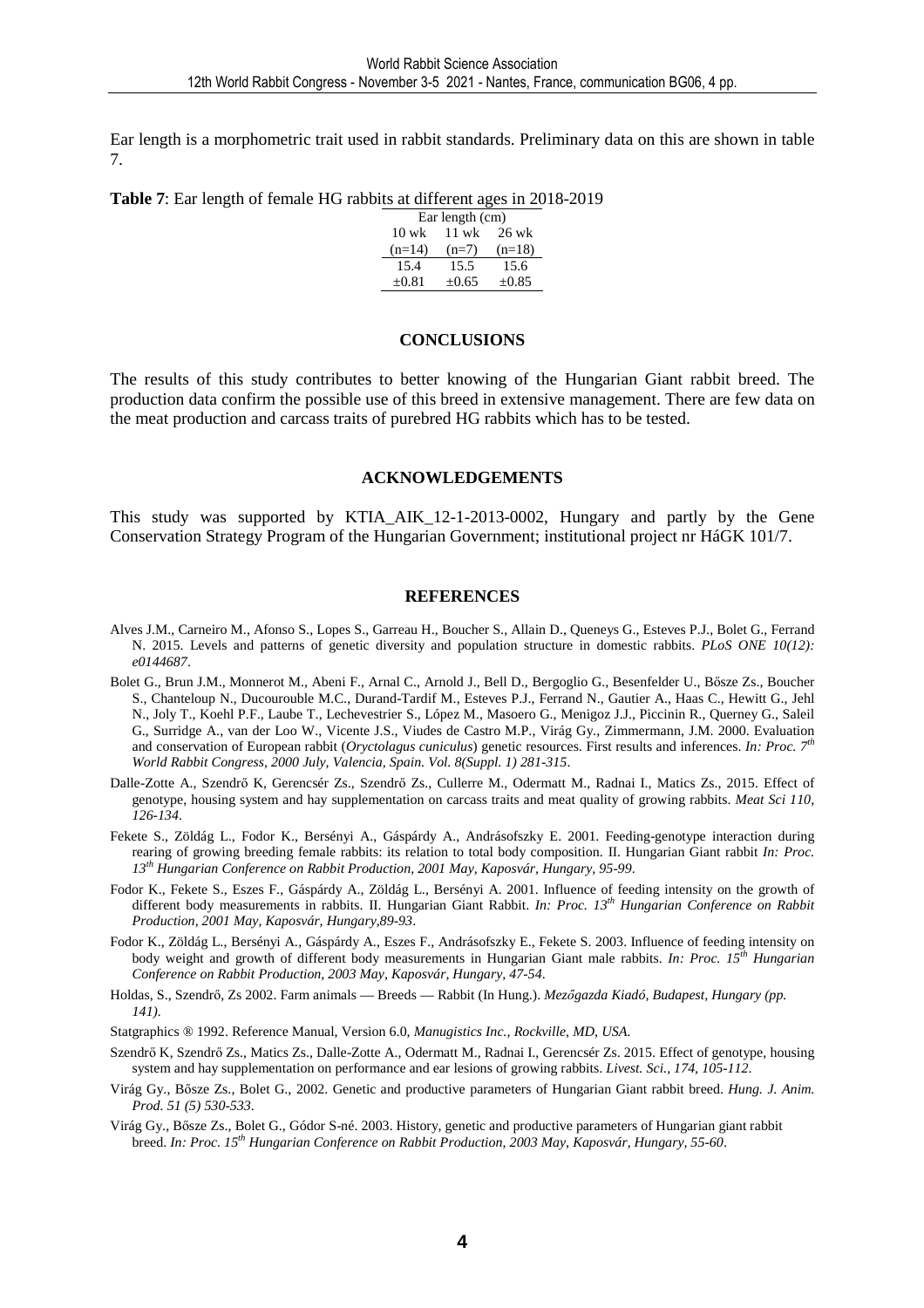Ear length is a morphometric trait used in rabbit standards. Preliminary data on this are shown in table 7.

**Table 7**: Ear length of female HG rabbits at different ages in 2018-2019

| Ear length (cm)                   |            |          |  |  |  |  |  |
|-----------------------------------|------------|----------|--|--|--|--|--|
| $10 \text{ wk}$<br>11 wk<br>26 wk |            |          |  |  |  |  |  |
| $(n=14)$                          | $(n=7)$    | $(n=18)$ |  |  |  |  |  |
| 15.4                              | 15.5       | 15.6     |  |  |  |  |  |
| $\pm 0.81$                        | $\pm 0.65$ | $+0.85$  |  |  |  |  |  |

#### **CONCLUSIONS**

The results of this study contributes to better knowing of the Hungarian Giant rabbit breed. The production data confirm the possible use of this breed in extensive management. There are few data on the meat production and carcass traits of purebred HG rabbits which has to be tested.

#### **ACKNOWLEDGEMENTS**

This study was supported by KTIA\_AIK\_12-1-2013-0002, Hungary and partly by the Gene Conservation Strategy Program of the Hungarian Government; institutional project nr HáGK 101/7.

#### **REFERENCES**

- Alves J.M., Carneiro M., Afonso S., Lopes S., Garreau H., Boucher S., Allain D., Queneys G., Esteves P.J., Bolet G., Ferrand N. 2015. Levels and patterns of genetic diversity and population structure in domestic rabbits. *PLoS ONE 10(12): e0144687*.
- Bolet G., Brun J.M., Monnerot M., Abeni F., Arnal C., Arnold J., Bell D., Bergoglio G., Besenfelder U., Bősze Zs., Boucher S., Chanteloup N., Ducourouble M.C., Durand-Tardif M., Esteves P.J., Ferrand N., Gautier A., Haas C., Hewitt G., Jehl N., Joly T., Koehl P.F., Laube T., Lechevestrier S., López M., Masoero G., Menigoz J.J., Piccinin R., Querney G., Saleil G., Surridge A., van der Loo W., Vicente J.S., Viudes de Castro M.P., Virág Gy., Zimmermann, J.M. 2000. Evaluation and conservation of European rabbit (*Oryctolagus cuniculus*) genetic resources. First results and inferences. *In: Proc. 7th World Rabbit Congress, 2000 July, Valencia, Spain. Vol. 8(Suppl. 1) 281-315*.
- Dalle-Zotte A., Szendrő K, Gerencsér Zs., Szendrő Zs., Cullerre M., Odermatt M., Radnai I., Matics Zs., 2015. Effect of genotype, housing system and hay supplementation on carcass traits and meat quality of growing rabbits. *Meat Sci 110, 126-134*.
- Fekete S., Zöldág L., Fodor K., Bersényi A., Gáspárdy A., Andrásofszky E. 2001. Feeding-genotype interaction during rearing of growing breeding female rabbits: its relation to total body composition. II. Hungarian Giant rabbit *In: Proc. 13th Hungarian Conference on Rabbit Production, 2001 May, Kaposvár, Hungary, 95-99*.
- Fodor K., Fekete S., Eszes F., Gáspárdy A., Zöldág L., Bersényi A. 2001. Influence of feeding intensity on the growth of different body measurements in rabbits. II. Hungarian Giant Rabbit. *In: Proc. 13th Hungarian Conference on Rabbit Production, 2001 May, Kaposvár, Hungary,89-93*.
- Fodor K., Zöldág L., Bersényi A., Gáspárdy A., Eszes F., Andrásofszky E., Fekete S. 2003. Influence of feeding intensity on body weight and growth of different body measurements in Hungarian Giant male rabbits. *In: Proc. 15th Hungarian Conference on Rabbit Production, 2003 May, Kaposvár, Hungary, 47-54*.
- Holdas, S., Szendrő, Zs 2002. Farm animals Breeds Rabbit (In Hung.). *Mezőgazda Kiadó, Budapest, Hungary (pp. 141).*
- Statgraphics ® 1992. Reference Manual, Version 6.0, *Manugistics Inc., Rockville, MD, USA.*
- Szendrő K, Szendrő Zs., Matics Zs., Dalle-Zotte A., Odermatt M., Radnai I., Gerencsér Zs. 2015. Effect of genotype, housing system and hay supplementation on performance and ear lesions of growing rabbits. *Livest. Sci., 174, 105-112*.
- Virág Gy., Bősze Zs., Bolet G., 2002. Genetic and productive parameters of Hungarian Giant rabbit breed. *Hung. J. Anim. Prod. 51 (5) 530-533*.
- Virág Gy., Bősze Zs., Bolet G., Gódor S-né. 2003. History, genetic and productive parameters of Hungarian giant rabbit breed. *In: Proc. 15th Hungarian Conference on Rabbit Production, 2003 May, Kaposvár, Hungary, 55-60*.